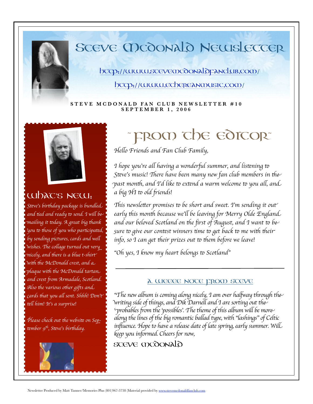

## SCEVE MCOONALO NEWSLECCER

bccp://www.scevemcdonaldpanclub.com/

bccp://www.ecbepeanmusic.com/

#### STEVE MCDONALD FAN CLUB NEWSLETTER #10 SEPTEMBER 1, 2006



## Whac's NEW:

Steve's birthday package is bundled and tied and ready to send. I will be maílíng ít today. A great bíg thank You to those of you who participated, by sending pictures, cards and well Wishes. The collage turned out very -nicely, and there is a blue t-shirt' With the McDonald crest, and a  $p$ laque with the McDonald tartan and crest from Armadale, Scotland. Also the various other gifts and  $\,$ cards that you all sent. Shhh! Don't' tell him! It's a surprise!

Please check out the website on September 9<sup>th</sup>, Steve's birthday.



## **FROOD CDE EDICOR**

Hello Friends and Fan Club Family,

I hope you're all having a wonderful summer, and listening to Steve's music! There have been many new fan club members in the past month, and I'd like to extend a warm welcome to you all, and a big HI to old friends!

This newsletter promises to be short and sweet. I'm sending it out' early this month because we'll be leaving for Merry Olde England and our beloved Scotland on the first of August, and I want to be sure to give our contest winners time to get back to me with their info, so I can get their prizes out to them before we leave!

"Oh yes, I know my heart belongs to Scotland"

#### A WEEEE NOTE FROM STEVE

"The new album is coming along nicely, I am over halfway through the Writing side of things, and Dik Darnell and I are sorting out the 'probables from the 'possibles'. The theme of this album will be more along the lines of the big romantic ballad type, with "lashings" of Celtic influence. Hope to have a release date of late spring, early summer. Will keep you informed. Cheers for now,

**SCEVE MCOONALO**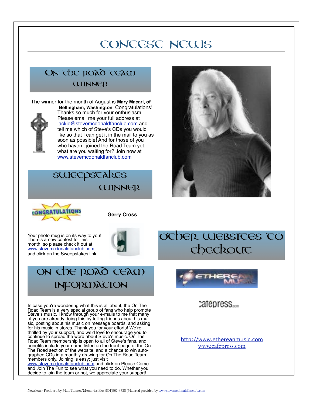## CONCESC NEWS

## On the road team WINNER



### sweepstakes **WINNER**





**Gerry Cross**

Your photo mug is on its way to you! There's a new contest for this month, so please check it out at www.stevemcdonaldfanclub.com and click on the Sweepstakes link.



## ON THE ROAD TEAM information

In case you're wondering what this is all about, the On The Road Team is a very special group of fans who help promote Steve's music. I know through your e-mails to me that many of you are already doing this by telling friends about his muof you are already doing this by telling friends about his mu-<br>sic, posting about his music on message boards, and asking for his music in stores. Thank you for your efforts! We"re thrilled by your support, and we'd love to encourage you to continue to spread the word about Steve's music. On The Road Team membership is open to all of Steve's fans, and benefits include your name listed on the front page of the On The Road section of the website, and a chance to win autographed CDs in a monthly drawing for On The Road Team members only. Joining is easy; just visit www.stevemcdonaldfanclub.com and click on Please Come and Join The Fun to see what you need to do. Whether you decide to join the team or not, we appreciate your support!





catepress.....

http://www.ethereanmusic.com www.cafepress.com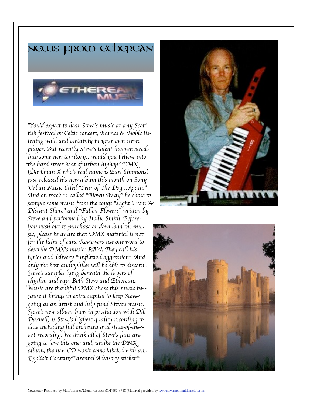



"You'd expect to hear Steve's music at any Scot'tish festival or Celtic concert, Barnes & Noble listening wall, and certainly in your own stereo  $\neg$ layer. But recently St<del>e</del>ve's talent has ventured into some new territory...would you believe into the hard street beat of urban hiphop?  $\mathcal{D}\mathsf{M}\mathsf{X}$ (Darkman X who's real name is Earl Simmons) just released his new album this month on Sony Urban Music titled "Year of The Dog... Again." And on track 11 called "Blown Away" he chose to sample some music from the songs "Light From  $\mathcal H$ Distant Shore" and "Fallen Flowers" written by Steve and performed by Hollie Smith. Before You rush out to purchase or download the music, please be aware that DMX material is not for the faint of ears. Reviewers use one word to describe DMX's music: RAW. They call his lyrics and delivery "unfiltered aggression". And only the best audiophiles will be able to discern Steve's samples lying beneath the layers of Thythm and rap. Both Steve and Etherean Music are thankful DMX chose this music be-cause it brings in extra capital to keep Steve going as an artist and help fund Steve's music. Steve's new album (now in production with Dik Darnell) is Steve's highest quality recording to date including full orchestra and state-of-theart recording. We think all of Steve's fans are going to love this one; and, unlike the DMX album, the new  $CD$  won't come labeled with an Explicit Content/Parental Advisory sticker!"



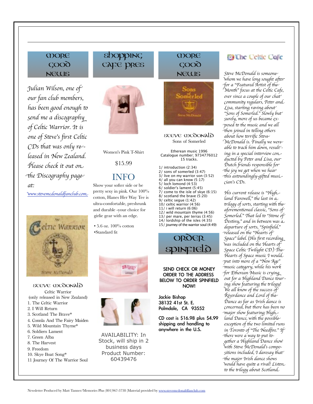#### **COORE**  $COOQ$ **NEWS**

Julian Wilson, one of our fan club members, has been good enough to send me a discography of Celtic Warrior. It is one of Steve's first Celtic  $CDs$  that was only released in New Zealand. Please check it out on the Discography page at:

www.stevemcdonaldfanclub.com



**SCEVE MCOONALD** Celtic Warrior (only released in New Zealand) 1. The Celtic Warrior 2. I Will Return 3. Scotland The Brave\* 4. Connla And The Fairy Maiden 5. Wild Mountain Thyme\* 6. Soldiers Lament 7. Green Alba 8. The Harvest 9. Freedom 10. Skye Boat Song\* 11 Journey Of The Warrior Soul

#### shopping CAFE PRES



Women's Pink T-Shirt

\$15.99

#### **INFO**

Show your softer side or be pretty sexy in pink. Our 100% cotton, Hanes Her Way Tee is ultra-comfortable, preshrunk and durable -your choice for girlie gear with an edge.

• 5.6 oz.  $100\%$  cotton •Standard fit





**AVAILABILITY: In** Stock, will ship in 2 business days Product Number: 60439476

#### **COORE** COOO NEWS



**SCEVE MCOONALD** Sons of Somerled

Etherean music 1996 Catalogue number; 9734776012 15 tracks.

1/ introduction (2:34) 2/ sons of somerled (3:47) 3/ live on my warrior son (3:52) 4/ all you can know (5:17) 5/ loch lomond (4:53) 6/ soldier's lament (5:45) 7/ come to the isle of skye (6:15) 8/ scotland the brave (5:20) 9/ celtic segue (1:42) 10/ celtic warrior (4:56) 11/ i will return (6:06) 12/ wild mountain thyme (4:56) 13/ per mare, per terras (3:45) 14/ lordship of the isles (4:35)

15/ journey of the warrior soul (4:49)

#### OROER SDINFIE

#### SEND CHECK OR MONEY **ORDER TO THE ADDRESS BELOW TO ORDER SPINFIELD NOW!**

Jackie Bishop 38132 41st St. E. Palmdale, CA 93552

CD cost is \$16.98 plus \$4.99 shipping and handling to anywhere in the U.S.

#### **B** The Celtic Cofe

Steve McDonald is someone Whom we have long sought after for a "Featured Artist of the<sup>"</sup> Month" focus at the Celtic Cafe, ever since a couple of our chat community regulars, Peter and Lisa, starting raving about "Sons of Somerled." Slowly but" surely, more of us became exposed to the music and we all then joined in telling others about how terrific Steve McDonald is. Finally we were<sup>,</sup> able to track him down, resulting in a special interview conducted by Peter and Lisa, our Dutch friends responsible for the joy we get when we hear -this astoundingly-gifted musi.cian's CDs.

His current release is "Highland Farewell," the last in a trilogy of sorts, starting with the aforementioned classic, "Sons of Somerled." That led to "Stone of Destiny," and in between was a departure of sorts, "Spinfield," released on the "Hearts of Space" label. (His first recording Was included on the Hearts of Space Celtic Twilight CD.) The Hearts of Space music I would put into more of a "New Age" music category, while his work for Etherean Music is crying out for a Highland Dance touring show featuring the trilogy! We all know of the success of Riverdance and Lord of the Dance as far as Irísh dance ís concerned, but there has been no -major show featuring Highland Dance, with the possible exception of the two limited runs in Toronto of "The Needfire." If there were a way to put together a Highland Dance show With Steve McDonald's compositions included, 1 daresay that the major Irish dance shows Would have quite a rival! Listen. to the trilogy about Scotland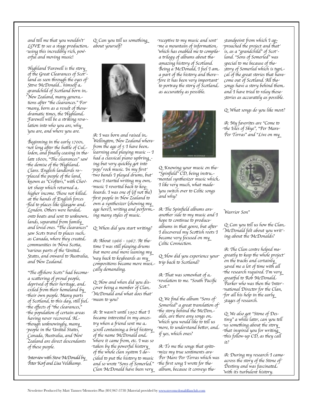and tell me that you wouldn't  $LOVE$  to see a stage production using this incredibly rich, powerful and moving music!

Highland Farewell is the story of the Great Clearances of Scotland as seen through the eyes of Steve McDonald... himself a grandchild of Scotland born in New Zealand, many genera .tions after "the clearances." For many, born as a result of those dramatic times, the Highland Farewell will be a striking revelation into who you are, why you are, and where you are.

Beginning in the early 1700s, not long after the battle of CuLloden, and finally ceasing in the<sup>,</sup> late 1800s, "The clearances" saw the demise of the Highland Clans. English landlords replaced the people of the land, known as "Crofters," with Cheviot sheep which returned a higher income. Those not killed at the hands of English forces Hed to places like Glasgow and London. Others were herded onto boats and sent to unknown lands, separated from family and loved ones. "The clearances" saw Scots travel to places such as Canada, where they created communities in Nova Scotia, Various parts of the United States, and onward to Australia, and New Zealand.

"The offshore Scots" had become a scattering of proud people, deprived of their heritage, and exiled from their homeland by their own people. Many parts of Scotland, to this day, still feel the effects of "the clearances," the population of certain areas having never recovered. ALthough unknowingly, many people in the United States, Canada, Australia, and New Zealand are direct descendants of these people.

Interview with Steve McDonald by Peter Korf and Lisa Veldkamp.

Q: Can you tell us something about yourself?



A: I was born and raised in Wellington, New Zealand wherefrom the age of 5 1 have been. learning and playing music -- I had a classical piano upbring ing but very quickly got into pop/rock music. In my first two bands I played drums, but once I started writing my own music I reverted back to keyboards. I was one of  $(if \text{ not the})$ first people in New Zealand to own a synthesizer (showing my age here!), writing and perform.ing many styles of music.

Q: When did you start writing?

A: About 1966 - 1967. At the time I was still playing drums but more and more leaning my way back <del>to</del> keyboards as my compositions became more musically demanding.

Q: How and when did you discover being a member of Clan McDonald and what does that mean to you?

A: It wasn't until 1992 that I became interested in my ancestry when a friend sent me a scroll containing a brief history of the name McDonald and Where it came from, etc. I was so taken by the powerful history of the whole clan system I decided to put the history to music and so wrote "Sons of Somerled." Clan McDonald have been very

receptive to my music and sent me a mountain of information. Which has enabled me to compile a trilogy of albums about the amazing history of Scotland. Being a McDonald, I feel I am a part of the history and therefore it has been very important<sup>.</sup> to portray the story of Scotland as accurately as possible.



Q: Knowing your music on the "Spinfield" CD, being instrumental synthesizer music which. I like very much, what made You switch over to Celtic songs and why?

A: The Spinfield albums are another side to my music and I hope to continue to produce albums in that genre, but after I discovered my Scottish roots I became very focused on my Celtic Connection.

Q: How did you experience your trip back to Scotland?

A: That was somewhat of  $a$ revelation to me. "South Pacific Scot."

Q: We find the album "Sons of Somerled" a great translation of the story behind the McDonalds, are there any songs on Which you would like <del>to</del> <del>te</del>ll us  $\tau$ more, to understand better, and if yes, which ones?

A: To me the songs that epitomize my true sentiments are Per Mare Per Terras which was the first song I wrote for the album, because it conveys the

standpoint from which I ap- $\gamma$ roached the project and that  $\gamma$ is, as a "grandchild" of Scot<sup>.</sup>land. "Sons of Somerled" was special to me because of the story of Somerled which is typical of the great stories that have come out of Scotland. All the songs have a story behind them. and I have tried to relay those stories as accurately as possible.

Q: What songs do you like most?

A: My favorites are "Come to the Isles of Skye", "Per Mare Per Terras" and "Live on my



Warríor Son"

Q: Can you tell us how the Clan McDonald felt about you writ'ing about the McDonalds?

A: The Clan centre helped me greatly to keep the whole project on the tracks and certainly saved me a lot of time with all the research required. I'm very greatful to Rob McDonald Parker who was then the International Director for the Clan, -for all his help in the early  $\overline{\phantom{a}}$ stages of research.

Q: We also got "Stone of Destiny" a while later, can you tell us something about the story that inspired you for writing -this follow-up CD, as they call ít?

A: During my research I came<sup>,</sup> across the story of the Stone of Destiny and was fascinated. With its turbulent history.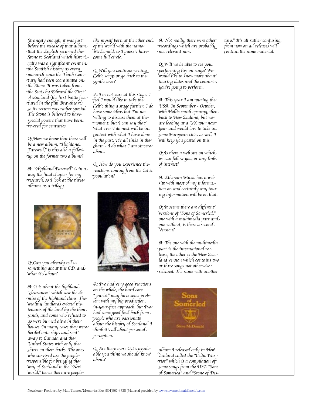Strangely enough, it was just' before the release of that album -that the English returned the Stone to Scotland which historically was a significant event in the Scottish history as every monarch since the Tenth Century had been coordinated on the Stone. It was taken from the Scots by Edward the First of England (the first battle featured in the film Braveheart) so its return was rather special. The Stone is believed to have special powers that have been. revered for centuries.

Q: Now we know that there will be a new album, "Highland. Farewell," is this also a followup on the former two albums?

A: "Highland Farewell" is in a Way the final chapter for my research, so I look at the three albums as a trílogy.



Q: Will you continue writing Celtic songs or go back to the synthesizer?

A: I'm not sure at this stage. I feel I would like to take the Celtic thing a stage further. I do have some ideas but I'm not Willing to discuss them at the<sup>,</sup> moment, but I can say that What ever I do next will be in context with what I have done in the past. It's all links in the chain - 1 do what 1 am sincere about.

 $Q:$  How do you experience the reactions coming from the Celtic population?



Q: Can you already tell us something about this CD, and What it's about?

A: It is about the highland "clearances" which saw the demise of the highland clans. The Wealthy landlords evicted the<sup>.</sup> tenants of the land by the thousands, and some who refused to go were burned alive in their houses. In many cases they were herded onto ships and sent away to Canada and the United States with only the shirts on their backs. The ones who survived are the peopleresponsible for bringing the Way of Scotland to the "New world," hence there are people-



A: I've had very good reactions on the whole, the hard core purist" may have some problem with my big production, in-your-face approach, but Tve had some good feed-back from people who are passionate about the history of Scotland. I think it's all about personal perception.

 $Q$ : Are there more CD's avaiLable you think we should know about?

recordings which are probably not relevant now.

 $Q:$  Will we be able to see you. performing live on stage? We would like to know more about touring dates and the countries you're going to perform.

A: This year I am touring the USA. In September - October, With Hollie smith opening, then back to New Zealand, but we are looking at a UK tour next year and would love to take in some European cities as well, I Will keep you posted on this.

Q: Is there a web site on which We can follow you, or any línks of interest?

A: Etherean Music has a web site with most of my information on and certainly any touring information will be on that.

Q: It seems there are different Versions of "Sons of Somerled," one with a multimedia part and one without; is there a second Versíon?

A: The one with the multimedia -part is the international release, the other is the New Zealand version which contains two or three songs not otherwise released. The same with another



album I released only in New -Zealand called the "Čeltic War  $\tau$ íor" whích is a compilation of some songs from the USA "Sons of Somerled" and "Stone of Des-

tiny." It's all rather confusing, from now on all releases will contain the same material.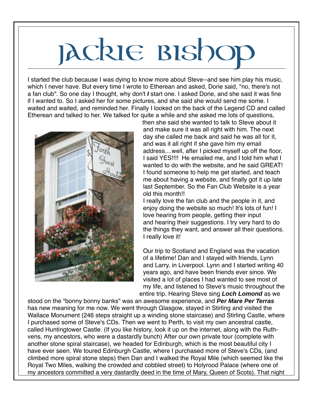# Jackie Bishop

I started the club because I was dying to know more about Steve--and see him play his music, which I never have. But every time I wrote to Etherean and asked, Dorie said, "no, there's not a fan club". So one day I thought, why don't **I** start one. I asked Dorie, and she said it was fine if I wanted to. So I asked her for some pictures, and she said she would send me some. I waited and waited, and reminded her. Finally I looked on the back of the Legend CD and called Etherean and talked to her. We talked for quite a while and she asked me lots of questions,



then she said she wanted to talk to Steve about it and make sure it was all right with him. The next day she called me back and said he was all for it, and was it all right if she gave him my email address....well, after I picked myself up off the floor, I said YES!!!! He emailed me, and I told him what I wanted to do with the website, and he said GREAT! I found someone to help me get started, and teach me about having a website, and finally got it up late last September. So the Fan Club Website is a year old this month!!

I really love the fan club and the people in it, and enjoy doing the website so much! It's lots of fun! I love hearing from people, getting their input and hearing their suggestions. I try very hard to do the things they want, and answer all their questions. I really love it!

Our trip to Scotland and England was the vacation of a lifetime! Dan and I stayed with friends, Lynn and Larry, in Liverpool. Lynn and I started writing 40 years ago, and have been friends ever since. We visited a lot of places I had wanted to see most of my life, and listened to Steve's music throughout the entire trip. Hearing Steve sing **Loch Lomond** as we

stood on the "bonny bonny banks" was an awesome experience, and **Per Mare Per Terras** has new meaning for me now. We went through Glasgow, stayed in Stirling and visited the Wallace Monument (246 steps straight up a winding stone staircase) and Stirling Castle, where I purchased some of Steve's CDs. Then we went to Perth, to visit my own ancestral castle, called Huntingtower Castle. (If you like history, look it up on the internet, along with the Ruthvens, my ancestors, who were a dastardly bunch) After our own private tour (complete with another stone spiral staircase), we headed for Edinburgh, which is the most beautiful city I have ever seen. We toured Edinburgh Castle, where I purchased more of Steve's CDs, (and climbed more spiral stone steps) then Dan and I walked the Royal Mile (which seemed like the Royal Two Miles, walking the crowded and cobbled street) to Holyrood Palace (where one of my ancestors committed a very dastardly deed in the time of Mary, Queen of Scots). That night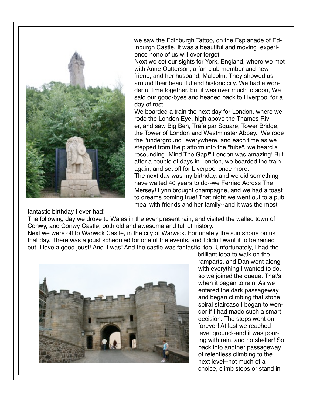

fantastic birthday I ever had!

we saw the Edinburgh Tattoo, on the Esplanade of Edinburgh Castle. It was a beautiful and moving experience none of us will ever forget.

Next we set our sights for York, England, where we met with Anne Outterson, a fan club member and new friend, and her husband, Malcolm. They showed us around their beautiful and historic city. We had a wonderful time together, but it was over much to soon, We said our good-byes and headed back to Liverpool for a day of rest.

We boarded a train the next day for London, where we rode the London Eye, high above the Thames River, and saw Big Ben, Trafalgar Square, Tower Bridge, the Tower of London and Westminster Abbey. We rode the "underground" everywhere, and each time as we stepped from the platform into the "tube", we heard a resounding "Mind The Gap!" London was amazing! But after a couple of days in London, we boarded the train again, and set off for Liverpool once more.

The next day was my birthday, and we did something I have waited 40 years to do--we Ferried Across The Mersey! Lynn brought champagne, and we had a toast to dreams coming true! That night we went out to a pub meal with friends and her family--and it was the most

The following day we drove to Wales in the ever present rain, and visited the walled town of Conwy, and Conwy Castle, both old and awesome and full of history.

Next we were off to Warwick Castle, in the city of Warwick. Fortunately the sun shone on us that day. There was a joust scheduled for one of the events, and I didn't want it to be rained out. I love a good joust! And it was! And the castle was fantastic, too! Unfortunately, I had the



brilliant idea to walk on the ramparts, and Dan went along with everything I wanted to do, so we joined the queue. That's when it began to rain. As we entered the dark passageway and began climbing that stone spiral staircase I began to wonder if I had made such a smart decision. The steps went on forever! At last we reached level ground--and it was pouring with rain, and no shelter! So back into another passageway of relentless climbing to the next level--not much of a choice, climb steps or stand in